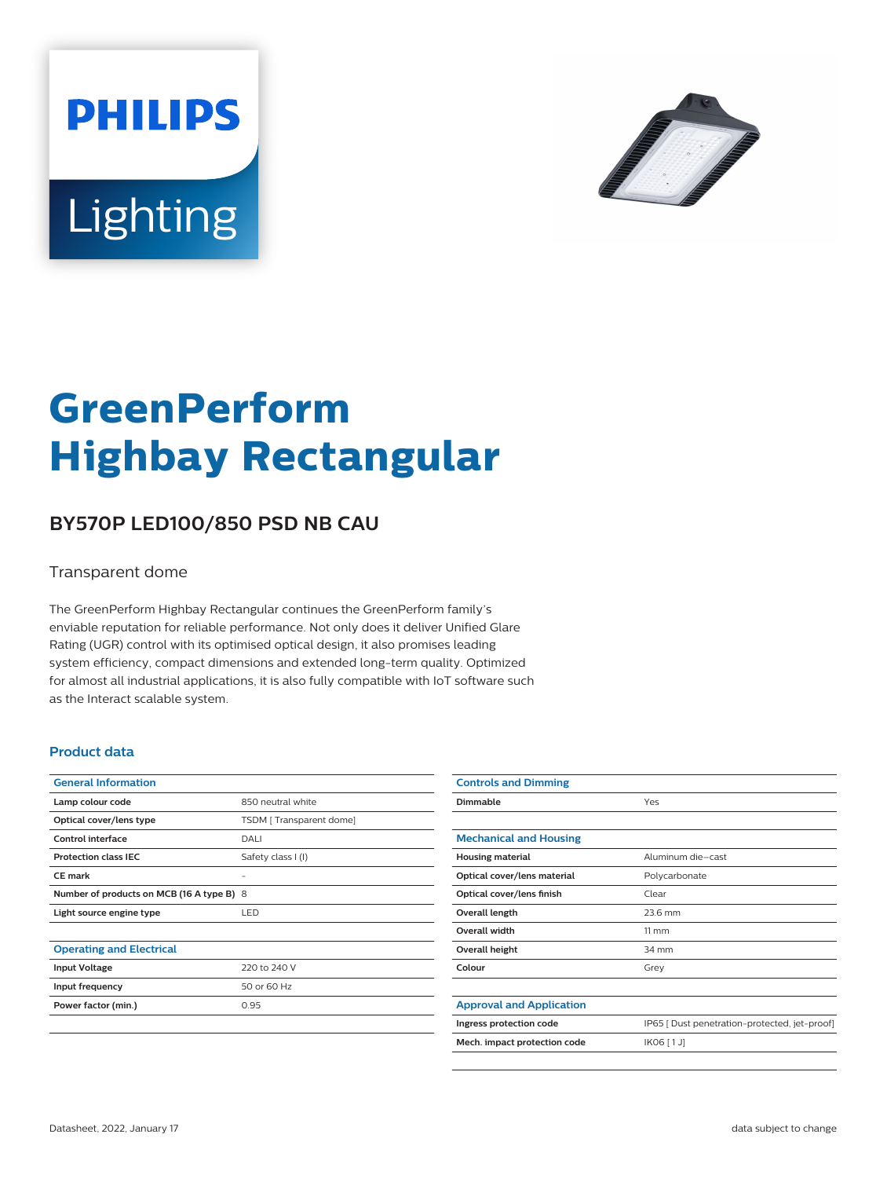



# **GreenPerform Highbay Rectangular**

## **BY570P LED100/850 PSD NB CAU**

#### Transparent dome

The GreenPerform Highbay Rectangular continues the GreenPerform family's enviable reputation for reliable performance. Not only does it deliver Unified Glare Rating (UGR) control with its optimised optical design, it also promises leading system efficiency, compact dimensions and extended long-term quality. Optimized for almost all industrial applications, it is also fully compatible with IoT software such as the Interact scalable system.

#### **Product data**

| <b>General Information</b>                |                         |
|-------------------------------------------|-------------------------|
| Lamp colour code                          | 850 neutral white       |
| Optical cover/lens type                   | TSDM [Transparent dome] |
| Control interface                         | DALI                    |
| <b>Protection class IEC</b>               | Safety class I (I)      |
| <b>CE</b> mark                            |                         |
| Number of products on MCB (16 A type B) 8 |                         |
| Light source engine type                  | <b>LED</b>              |
|                                           |                         |
| <b>Operating and Electrical</b>           |                         |
| <b>Input Voltage</b>                      | 220 to 240 V            |
| Input frequency                           | 50 or 60 Hz             |
| Power factor (min.)                       | 0.95                    |
|                                           |                         |

| <b>Controls and Dimming</b>     |                                               |
|---------------------------------|-----------------------------------------------|
| Dimmable                        | Yes                                           |
|                                 |                                               |
| <b>Mechanical and Housing</b>   |                                               |
| <b>Housing material</b>         | Aluminum die-cast                             |
| Optical cover/lens material     | Polycarbonate                                 |
| Optical cover/lens finish       | Clear                                         |
| Overall length                  | 23.6 mm                                       |
| <b>Overall width</b>            | $11 \, \mathrm{mm}$                           |
| Overall height                  | 34 mm                                         |
| Colour                          | Grey                                          |
|                                 |                                               |
| <b>Approval and Application</b> |                                               |
| Ingress protection code         | IP65   Dust penetration-protected, jet-proof] |
| Mech. impact protection code    | IK06 [1J]                                     |
|                                 |                                               |